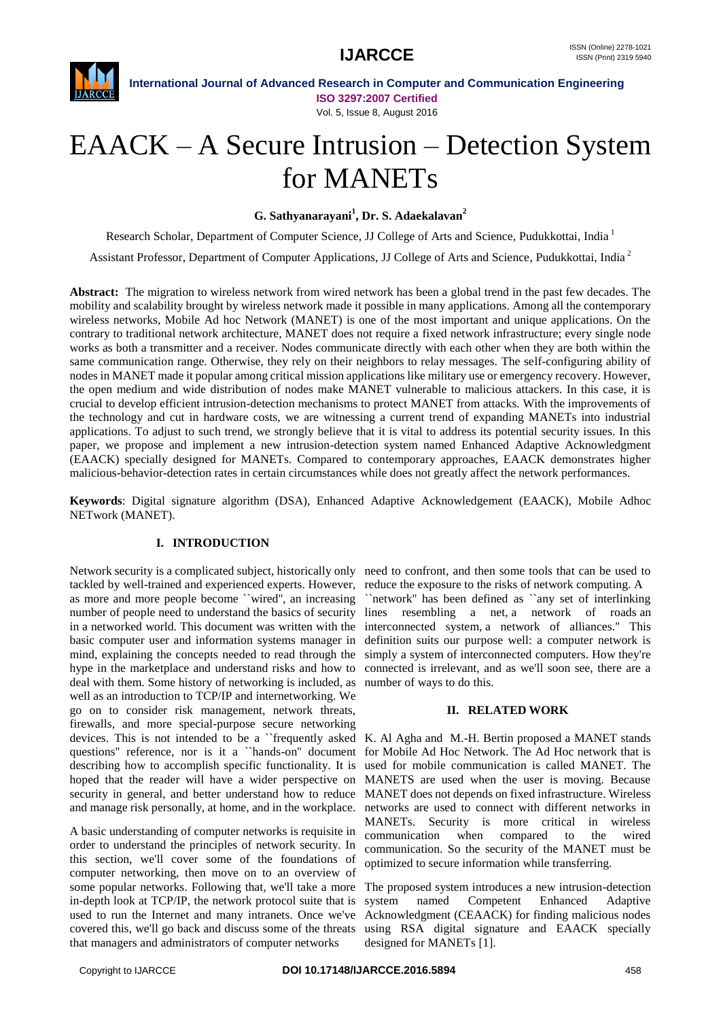

**International Journal of Advanced Research in Computer and Communication Engineering ISO 3297:2007 Certified** Vol. 5, Issue 8, August 2016

# EAACK – A Secure Intrusion – Detection System for MANETs

**G. Sathyanarayani<sup>1</sup> , Dr. S. Adaekalavan<sup>2</sup>**

Research Scholar, Department of Computer Science, JJ College of Arts and Science, Pudukkottai, India<sup>1</sup>

Assistant Professor, Department of Computer Applications, JJ College of Arts and Science, Pudukkottai, India <sup>2</sup>

**Abstract:** The migration to wireless network from wired network has been a global trend in the past few decades. The mobility and scalability brought by wireless network made it possible in many applications. Among all the contemporary wireless networks, Mobile Ad hoc Network (MANET) is one of the most important and unique applications. On the contrary to traditional network architecture, MANET does not require a fixed network infrastructure; every single node works as both a transmitter and a receiver. Nodes communicate directly with each other when they are both within the same communication range. Otherwise, they rely on their neighbors to relay messages. The self-configuring ability of nodes in MANET made it popular among critical mission applications like military use or emergency recovery. However, the open medium and wide distribution of nodes make MANET vulnerable to malicious attackers. In this case, it is crucial to develop efficient intrusion-detection mechanisms to protect MANET from attacks. With the improvements of the technology and cut in hardware costs, we are witnessing a current trend of expanding MANETs into industrial applications. To adjust to such trend, we strongly believe that it is vital to address its potential security issues. In this paper, we propose and implement a new intrusion-detection system named Enhanced Adaptive Acknowledgment (EAACK) specially designed for MANETs. Compared to contemporary approaches, EAACK demonstrates higher malicious-behavior-detection rates in certain circumstances while does not greatly affect the network performances.

**Keywords**: Digital signature algorithm (DSA), Enhanced Adaptive Acknowledgement (EAACK), Mobile Adhoc NETwork (MANET).

### **I. INTRODUCTION**

Network security is a complicated subject, historically only need to confront, and then some tools that can be used to tackled by well-trained and experienced experts. However, reduce the exposure to the risks of network computing. A as more and more people become ``wired'', an increasing number of people need to understand the basics of security lines resembling a net, a network of roads an in a networked world. This document was written with the basic computer user and information systems manager in mind, explaining the concepts needed to read through the hype in the marketplace and understand risks and how to deal with them. Some history of networking is included, as number of ways to do this. well as an introduction to TCP/IP and internetworking. We go on to consider risk management, network threats, firewalls, and more special-purpose secure networking devices. This is not intended to be a ``frequently asked K. Al Agha and M.-H. Bertin proposed a MANET stands questions'' reference, nor is it a ``hands-on'' document for Mobile Ad Hoc Network. The Ad Hoc network that is describing how to accomplish specific functionality. It is used for mobile communication is called MANET. The hoped that the reader will have a wider perspective on MANETS are used when the user is moving. Because security in general, and better understand how to reduce and manage risk personally, at home, and in the workplace.

A basic understanding of computer networks is requisite in order to understand the principles of network security. In this section, we'll cover some of the foundations of computer networking, then move on to an overview of some popular networks. Following that, we'll take a more in-depth look at TCP/IP, the network protocol suite that is used to run the Internet and many intranets. Once we've covered this, we'll go back and discuss some of the threats that managers and administrators of computer networks

``network'' has been defined as ``any set of interlinking interconnected system, a network of alliances.'' This definition suits our purpose well: a computer network is simply a system of interconnected computers. How they're connected is irrelevant, and as we'll soon see, there are a

#### **II. RELATED WORK**

MANET does not depends on fixed infrastructure. Wireless networks are used to connect with different networks in MANETs. Security is more critical in wireless communication when compared to the wired communication. So the security of the MANET must be optimized to secure information while transferring.

The proposed system introduces a new intrusion-detection system named Competent Enhanced Adaptive Acknowledgment (CEAACK) for finding malicious nodes using RSA digital signature and EAACK specially designed for MANETs [1].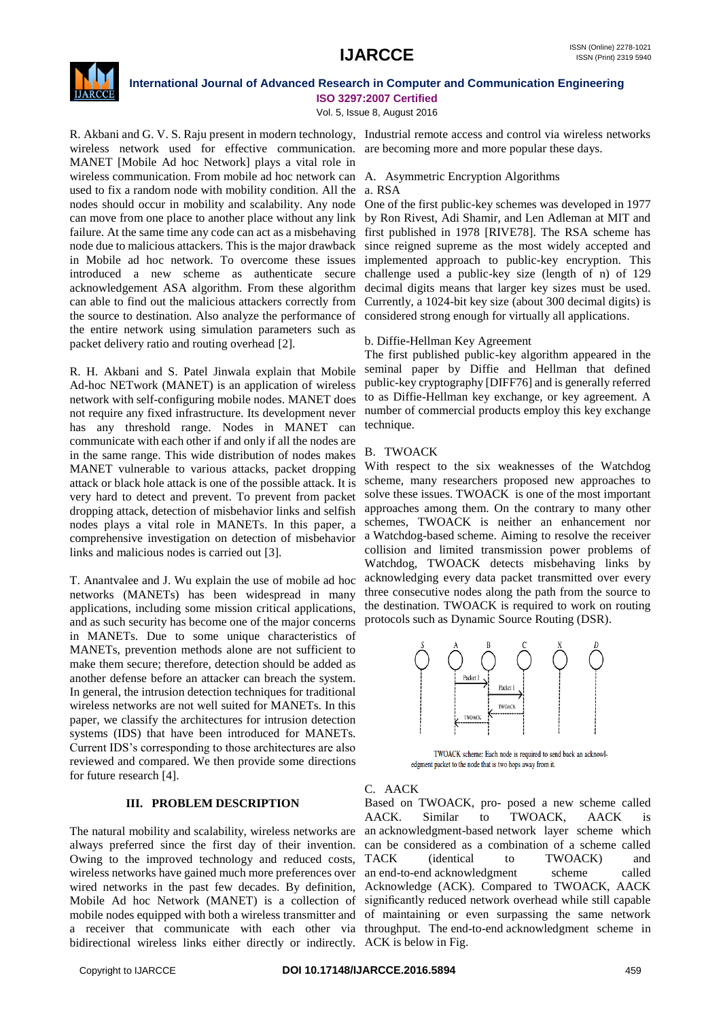

**ISO 3297:2007 Certified** Vol. 5, Issue 8, August 2016

wireless network used for effective communication. are becoming more and more popular these days. MANET [Mobile Ad hoc Network] plays a vital role in wireless communication. From mobile ad hoc network can A. Asymmetric Encryption Algorithms used to fix a random node with mobility condition. All the nodes should occur in mobility and scalability. Any node node due to malicious attackers. This is the major drawback in Mobile ad hoc network. To overcome these issues introduced a new scheme as authenticate secure acknowledgement ASA algorithm. From these algorithm can able to find out the malicious attackers correctly from the source to destination. Also analyze the performance of the entire network using simulation parameters such as packet delivery ratio and routing overhead [2].

R. H. Akbani and S. Patel Jinwala explain that Mobile Ad-hoc NETwork (MANET) is an application of wireless network with self-configuring mobile nodes. MANET does not require any fixed infrastructure. Its development never has any threshold range. Nodes in MANET can communicate with each other if and only if all the nodes are in the same range. This wide distribution of nodes makes MANET vulnerable to various attacks, packet dropping attack or black hole attack is one of the possible attack. It is very hard to detect and prevent. To prevent from packet dropping attack, detection of misbehavior links and selfish nodes plays a vital role in MANETs. In this paper, a comprehensive investigation on detection of misbehavior links and malicious nodes is carried out [3].

T. Anantvalee and J. Wu explain the use of mobile ad hoc networks (MANETs) has been widespread in many applications, including some mission critical applications, and as such security has become one of the major concerns in MANETs. Due to some unique characteristics of MANETs, prevention methods alone are not sufficient to make them secure; therefore, detection should be added as another defense before an attacker can breach the system. In general, the intrusion detection techniques for traditional wireless networks are not well suited for MANETs. In this paper, we classify the architectures for intrusion detection systems (IDS) that have been introduced for MANETs. Current IDS's corresponding to those architectures are also reviewed and compared. We then provide some directions for future research [4].

### **III. PROBLEM DESCRIPTION**

The natural mobility and scalability, wireless networks are always preferred since the first day of their invention. Owing to the improved technology and reduced costs, wired networks in the past few decades. By definition, Mobile Ad hoc Network (MANET) is a collection of mobile nodes equipped with both a wireless transmitter and bidirectional wireless links either directly or indirectly. ACK is below in Fig.

#### a. RSA

can move from one place to another place without any link by Ron Rivest, Adi Shamir, and Len Adleman at MIT and failure. At the same time any code can act as a misbehaving first published in 1978 [RIVE78]. The RSA scheme has One of the first public-key schemes was developed in 1977 since reigned supreme as the most widely accepted and implemented approach to public-key encryption. This challenge used a public-key size (length of n) of 129 decimal digits means that larger key sizes must be used. Currently, a 1024-bit key size (about 300 decimal digits) is considered strong enough for virtually all applications.

#### b. Diffie-Hellman Key Agreement

The first published public-key algorithm appeared in the seminal paper by Diffie and Hellman that defined public-key cryptography [DIFF76] and is generally referred to as Diffie-Hellman key exchange, or key agreement. A number of commercial products employ this key exchange technique.

### B. TWOACK

With respect to the six weaknesses of the Watchdog scheme, many researchers proposed new approaches to solve these issues. TWOACK is one of the most important approaches among them. On the contrary to many other schemes, TWOACK is neither an enhancement nor a Watchdog-based scheme. Aiming to resolve the receiver collision and limited transmission power problems of Watchdog, TWOACK detects misbehaving links by acknowledging every data packet transmitted over every three consecutive nodes along the path from the source to the destination. TWOACK is required to work on routing protocols such as Dynamic Source Routing (DSR).



TWOACK scheme: Each node is required to send back an acknowledgment packet to the node that is two hops away from it.

### C. AACK

wireless networks have gained much more preferences over an end-to-end acknowledgment scheme called a receiver that communicate with each other via throughput. The end-to-end acknowledgment scheme in Based on TWOACK, pro- posed a new scheme called AACK. Similar to TWOACK, AACK is an acknowledgment-based network layer scheme which can be considered as a combination of a scheme called TACK (identical to TWOACK) and Acknowledge (ACK). Compared to TWOACK, AACK significantly reduced network overhead while still capable of maintaining or even surpassing the same network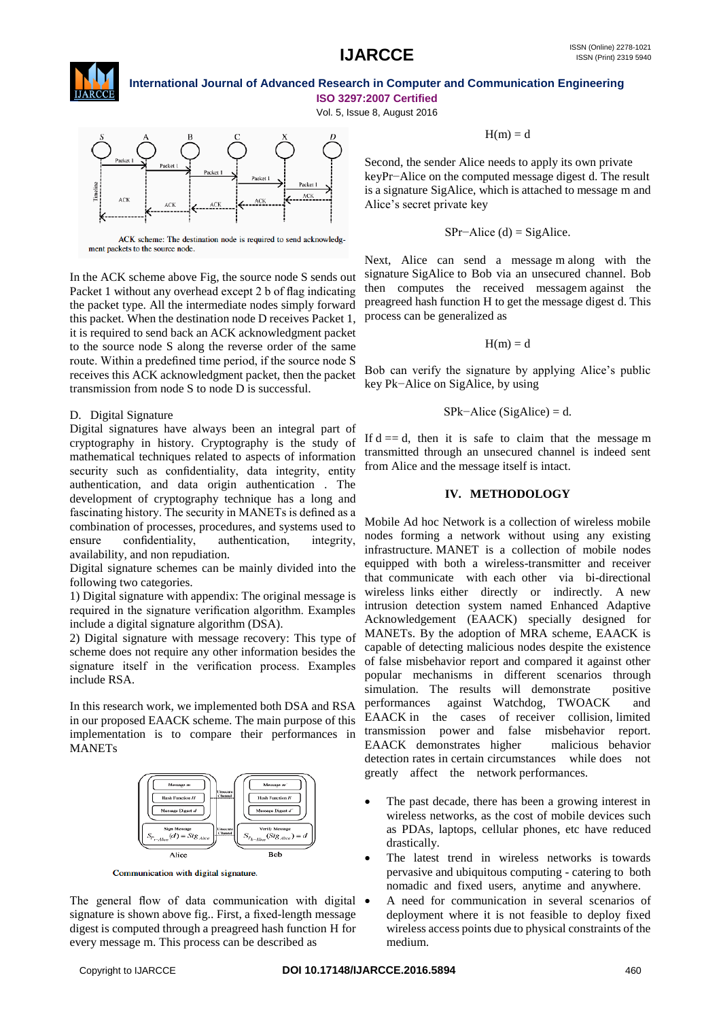

**ISO 3297:2007 Certified**

Vol. 5, Issue 8, August 2016



ment packets to the source node.

In the ACK scheme above Fig, the source node S sends out Packet 1 without any overhead except 2 b of flag indicating the packet type. All the intermediate nodes simply forward this packet. When the destination node D receives Packet 1, it is required to send back an ACK acknowledgment packet to the source node S along the reverse order of the same route. Within a predefined time period, if the source node S receives this ACK acknowledgment packet, then the packet transmission from node S to node D is successful.

### D. Digital Signature

Digital signatures have always been an integral part of cryptography in history. Cryptography is the study of mathematical techniques related to aspects of information security such as confidentiality, data integrity, entity authentication, and data origin authentication . The development of cryptography technique has a long and fascinating history. The security in MANETs is defined as a combination of processes, procedures, and systems used to ensure confidentiality, authentication, integrity, availability, and non repudiation.

Digital signature schemes can be mainly divided into the following two categories.

1) Digital signature with appendix: The original message is required in the signature verification algorithm. Examples include a digital signature algorithm (DSA).

2) Digital signature with message recovery: This type of scheme does not require any other information besides the signature itself in the verification process. Examples include RSA.

In this research work, we implemented both DSA and RSA in our proposed EAACK scheme. The main purpose of this implementation is to compare their performances in **MANETs** 



Communication with digital signature.

The general flow of data communication with digital  $\bullet$ signature is shown above fig.. First, a fixed-length message digest is computed through a preagreed hash function H for every message m. This process can be described as

 $H(m) = d$ 

Second, the sender Alice needs to apply its own private keyPr−Alice on the computed message digest d. The result is a signature SigAlice, which is attached to message m and Alice's secret private key

$$
SPr - Alice (d) = SigAlice.
$$

Next, Alice can send a message m along with the signature SigAlice to Bob via an unsecured channel. Bob then computes the received messagem against the preagreed hash function H to get the message digest d. This process can be generalized as

 $H(m) = d$ 

Bob can verify the signature by applying Alice's public key Pk−Alice on SigAlice, by using

$$
SPk–Alice (SigAlice) = d.
$$

If  $d = d$ , then it is safe to claim that the message m transmitted through an unsecured channel is indeed sent from Alice and the message itself is intact.

#### **IV. METHODOLOGY**

Mobile Ad hoc Network is a collection of wireless mobile nodes forming a network without using any existing infrastructure. MANET is a collection of mobile nodes equipped with both a wireless-transmitter and receiver that communicate with each other via bi-directional wireless links either directly or indirectly. A new intrusion detection system named Enhanced Adaptive Acknowledgement (EAACK) specially designed for MANETs. By the adoption of MRA scheme, EAACK is capable of detecting malicious nodes despite the existence of false misbehavior report and compared it against other popular mechanisms in different scenarios through simulation. The results will demonstrate positive performances against Watchdog, TWOACK and EAACK in the cases of receiver collision, limited transmission power and false misbehavior report. EAACK demonstrates higher malicious behavior detection rates in certain circumstances while does not greatly affect the network performances.

- The past decade, there has been a growing interest in wireless networks, as the cost of mobile devices such as PDAs, laptops, cellular phones, etc have reduced drastically.
- The latest trend in wireless networks is towards pervasive and ubiquitous computing - catering to both nomadic and fixed users, anytime and anywhere.
- A need for communication in several scenarios of deployment where it is not feasible to deploy fixed wireless access points due to physical constraints of the medium.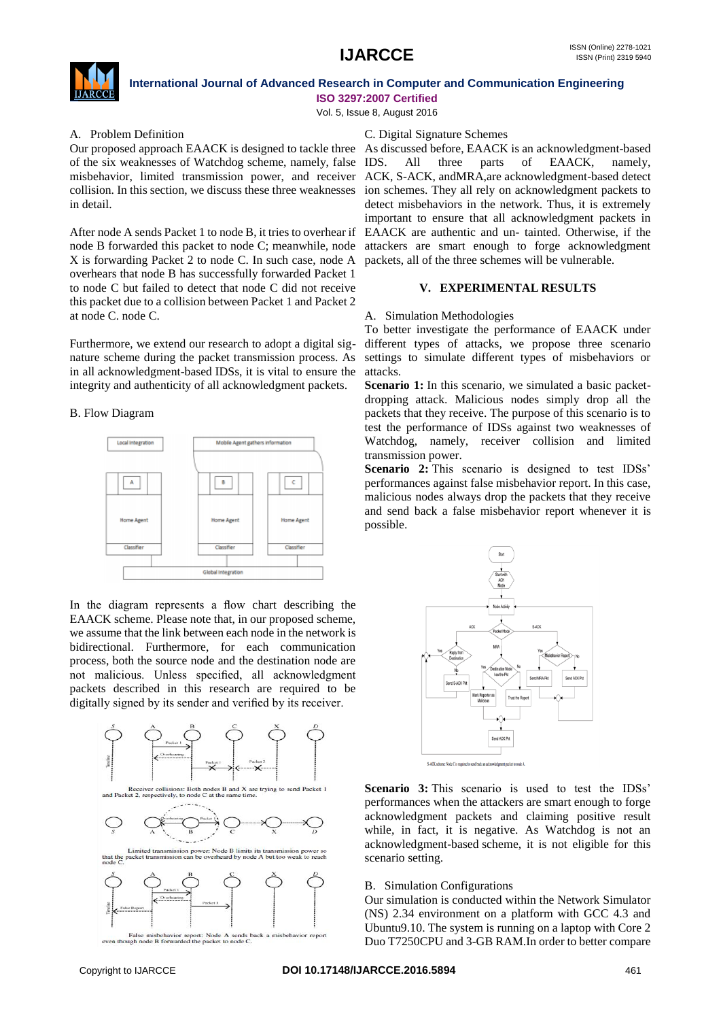

**ISO 3297:2007 Certified**

Vol. 5, Issue 8, August 2016

#### A. Problem Definition

Our proposed approach EAACK is designed to tackle three of the six weaknesses of Watchdog scheme, namely, false misbehavior, limited transmission power, and receiver collision. In this section, we discuss these three weaknesses in detail.

After node A sends Packet 1 to node B, it tries to overhear if X is forwarding Packet 2 to node C. In such case, node A packets, all of the three schemes will be vulnerable. overhears that node B has successfully forwarded Packet 1 to node C but failed to detect that node C did not receive this packet due to a collision between Packet 1 and Packet 2 at node C. node C.

Furthermore, we extend our research to adopt a digital signature scheme during the packet transmission process. As in all acknowledgment-based IDSs, it is vital to ensure the integrity and authenticity of all acknowledgment packets.

### B. Flow Diagram



In the diagram represents a flow chart describing the EAACK scheme. Please note that, in our proposed scheme, we assume that the link between each node in the network is bidirectional. Furthermore, for each communication process, both the source node and the destination node are not malicious. Unless specified, all acknowledgment packets described in this research are required to be digitally signed by its sender and verified by its receiver.



wior report: Node<br>warded the packet

#### C. Digital Signature Schemes

node B forwarded this packet to node C; meanwhile, node attackers are smart enough to forge acknowledgment As discussed before, EAACK is an acknowledgment-based All three parts of EAACK, namely, ACK, S-ACK, andMRA,are acknowledgment-based detect ion schemes. They all rely on acknowledgment packets to detect misbehaviors in the network. Thus, it is extremely important to ensure that all acknowledgment packets in EAACK are authentic and un- tainted. Otherwise, if the

#### **V. EXPERIMENTAL RESULTS**

#### A. Simulation Methodologies

To better investigate the performance of EAACK under different types of attacks, we propose three scenario settings to simulate different types of misbehaviors or attacks.

**Scenario 1:** In this scenario, we simulated a basic packetdropping attack. Malicious nodes simply drop all the packets that they receive. The purpose of this scenario is to test the performance of IDSs against two weaknesses of Watchdog, namely, receiver collision and limited transmission power.

**Scenario 2:** This scenario is designed to test IDSs' performances against false misbehavior report. In this case, malicious nodes always drop the packets that they receive and send back a false misbehavior report whenever it is possible.



**Scenario 3:** This scenario is used to test the IDSs' performances when the attackers are smart enough to forge acknowledgment packets and claiming positive result while, in fact, it is negative. As Watchdog is not an acknowledgment-based scheme, it is not eligible for this scenario setting.

#### B. Simulation Configurations

Our simulation is conducted within the Network Simulator (NS) 2.34 environment on a platform with GCC 4.3 and Ubuntu9.10. The system is running on a laptop with Core 2 Duo T7250CPU and 3-GB RAM.In order to better compare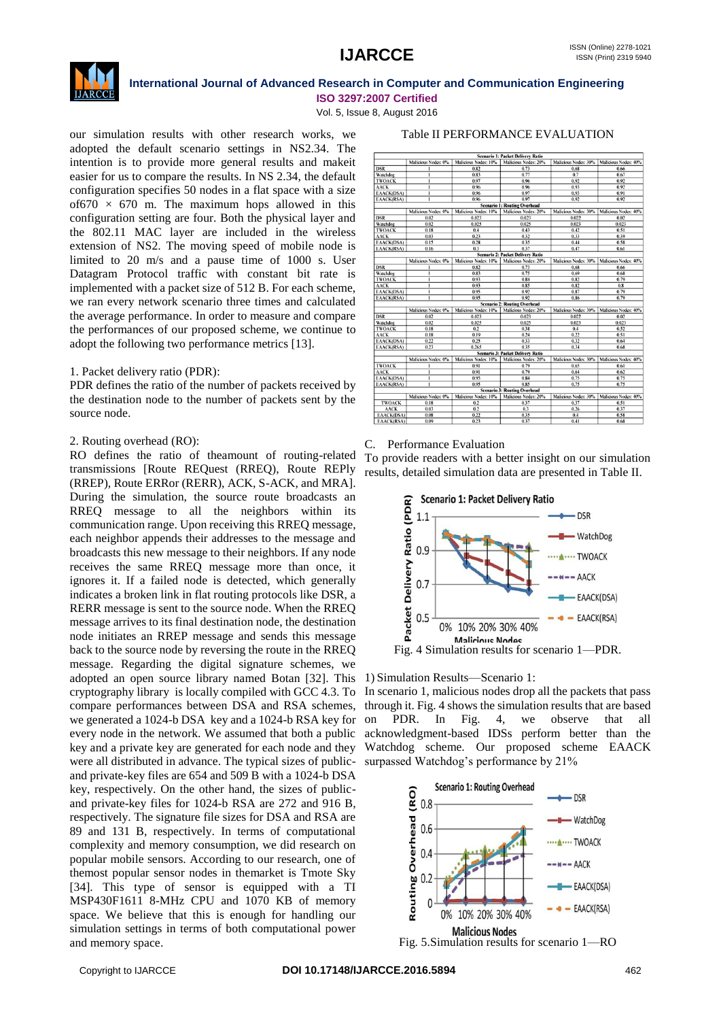

**ISO 3297:2007 Certified** Vol. 5, Issue 8, August 2016

our simulation results with other research works, we adopted the default scenario settings in NS2.34. The intention is to provide more general results and makeit easier for us to compare the results. In NS 2.34, the default configuration specifies 50 nodes in a flat space with a size of 670  $\times$  670 m. The maximum hops allowed in this configuration setting are four. Both the physical layer and the 802.11 MAC layer are included in the wireless extension of NS2. The moving speed of mobile node is limited to 20 m/s and a pause time of 1000 s. User Datagram Protocol traffic with constant bit rate is implemented with a packet size of 512 B. For each scheme, we ran every network scenario three times and calculated the average performance. In order to measure and compare the performances of our proposed scheme, we continue to adopt the following two performance metrics [13].

### 1. Packet delivery ratio (PDR):

PDR defines the ratio of the number of packets received by the destination node to the number of packets sent by the source node.

#### 2. Routing overhead (RO):

RO defines the ratio of theamount of routing-related transmissions [Route REQuest (RREQ), Route REPly (RREP), Route ERRor (RERR), ACK, S-ACK, and MRA]. During the simulation, the source route broadcasts an RREQ message to all the neighbors within its communication range. Upon receiving this RREQ message, each neighbor appends their addresses to the message and broadcasts this new message to their neighbors. If any node receives the same RREQ message more than once, it ignores it. If a failed node is detected, which generally indicates a broken link in flat routing protocols like DSR, a RERR message is sent to the source node. When the RREQ message arrives to its final destination node, the destination node initiates an RREP message and sends this message back to the source node by reversing the route in the RREQ message. Regarding the digital signature schemes, we adopted an open source library named Botan [32]. This cryptography library is locally compiled with GCC 4.3. To compare performances between DSA and RSA schemes, we generated a 1024-b DSA key and a 1024-b RSA key for every node in the network. We assumed that both a public key and a private key are generated for each node and they were all distributed in advance. The typical sizes of publicand private-key files are 654 and 509 B with a 1024-b DSA key, respectively. On the other hand, the sizes of publicand private-key files for 1024-b RSA are 272 and 916 B, respectively. The signature file sizes for DSA and RSA are 89 and 131 B, respectively. In terms of computational complexity and memory consumption, we did research on popular mobile sensors. According to our research, one of themost popular sensor nodes in themarket is Tmote Sky [34]. This type of sensor is equipped with a TI MSP430F1611 8-MHz CPU and 1070 KB of memory space. We believe that this is enough for handling our simulation settings in terms of both computational power and memory space.

### S**cenario 1: Packet Delivery Ratio**<br>|odes: 10% || Malicious Nodes: 20% || Malicious Nodes: 30% || Malicious Nodes: 40% us Nodes: 0% | Malicious Watchdog<br>TWOACK AACK<br>EAACK(DS,<br>EAACK(RS, Routing Overhead Watchdog<br>TWOACK Packet Delivery<br>Packet Delivery nario 2:<br>s: 10%  $0\%$  Malici  $20\%$  Malic ous Nodes: 30% | Ma  $\frac{0.06}{0.68}$ Watchdog<br>TWOACK  $\frac{0.7}{0.79}$ **Routing Over** EAACK(DS<br>EAACK(RS <u>eliver</u> ous Nodes: 30% | Malie TWOACK AACK<br>EAACK(DS<br>EAACK(RS

#### Table II PERFORMANCE EVALUATION

#### C. Performance Evaluation

To provide readers with a better insight on our simulation results, detailed simulation data are presented in Table II.



#### 1) Simulation Results—Scenario 1:

In scenario 1, malicious nodes drop all the packets that pass through it. Fig. 4 shows the simulation results that are based on PDR. In Fig. 4, we observe that all acknowledgment-based IDSs perform better than the Watchdog scheme. Our proposed scheme EAACK surpassed Watchdog's performance by 21%



Fig. 5.Simulation results for scenario 1—RO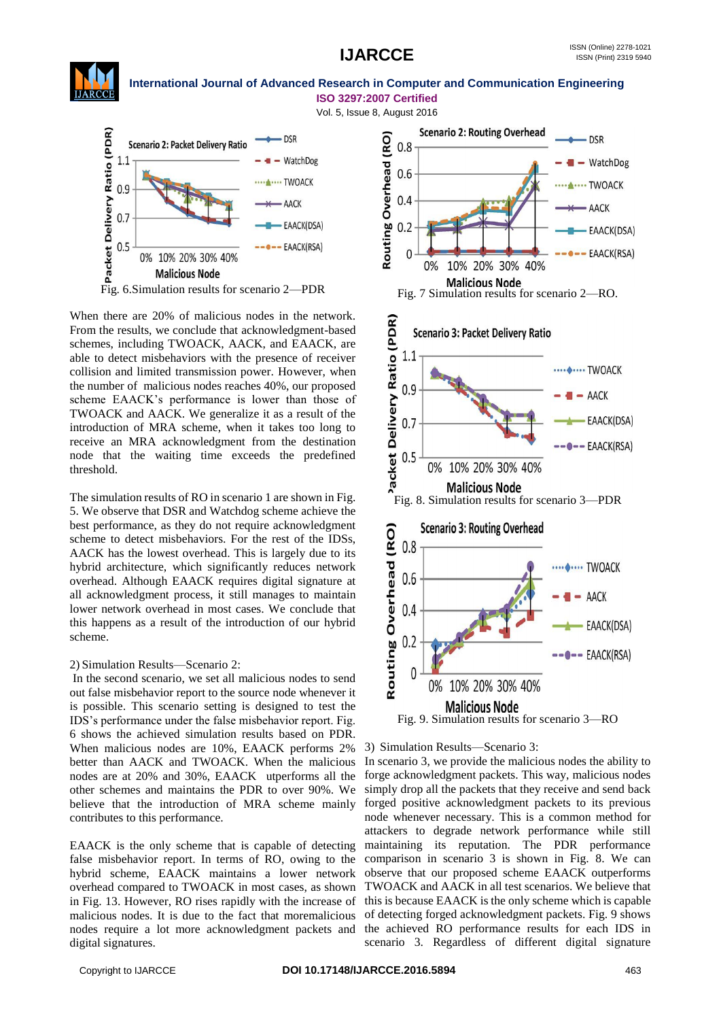

#### **International Journal of Advanced Research in Computer and Communication Engineering ISO 3297:2007 Certified**

Vol. 5, Issue 8, August 2016



When there are 20% of malicious nodes in the network. From the results, we conclude that acknowledgment-based schemes, including TWOACK, AACK, and EAACK, are able to detect misbehaviors with the presence of receiver collision and limited transmission power. However, when the number of malicious nodes reaches 40%, our proposed scheme EAACK's performance is lower than those of TWOACK and AACK. We generalize it as a result of the introduction of MRA scheme, when it takes too long to receive an MRA acknowledgment from the destination node that the waiting time exceeds the predefined threshold.

The simulation results of RO in scenario 1 are shown in Fig. 5. We observe that DSR and Watchdog scheme achieve the best performance, as they do not require acknowledgment scheme to detect misbehaviors. For the rest of the IDSs, AACK has the lowest overhead. This is largely due to its hybrid architecture, which significantly reduces network overhead. Although EAACK requires digital signature at all acknowledgment process, it still manages to maintain lower network overhead in most cases. We conclude that this happens as a result of the introduction of our hybrid scheme.

### 2) Simulation Results—Scenario 2:

In the second scenario, we set all malicious nodes to send out false misbehavior report to the source node whenever it is possible. This scenario setting is designed to test the IDS's performance under the false misbehavior report. Fig. 6 shows the achieved simulation results based on PDR. When malicious nodes are 10%, EAACK performs 2% better than AACK and TWOACK. When the malicious nodes are at 20% and 30%, EAACK utperforms all the other schemes and maintains the PDR to over 90%. We believe that the introduction of MRA scheme mainly contributes to this performance.

EAACK is the only scheme that is capable of detecting false misbehavior report. In terms of RO, owing to the hybrid scheme, EAACK maintains a lower network overhead compared to TWOACK in most cases, as shown in Fig. 13. However, RO rises rapidly with the increase of malicious nodes. It is due to the fact that moremalicious nodes require a lot more acknowledgment packets and digital signatures.



<sup>3)</sup> Simulation Results—Scenario 3:

In scenario 3, we provide the malicious nodes the ability to forge acknowledgment packets. This way, malicious nodes simply drop all the packets that they receive and send back forged positive acknowledgment packets to its previous node whenever necessary. This is a common method for attackers to degrade network performance while still maintaining its reputation. The PDR performance comparison in scenario 3 is shown in Fig. 8. We can observe that our proposed scheme EAACK outperforms TWOACK and AACK in all test scenarios. We believe that this is because EAACK is the only scheme which is capable of detecting forged acknowledgment packets. Fig. 9 shows the achieved RO performance results for each IDS in scenario 3. Regardless of different digital signature